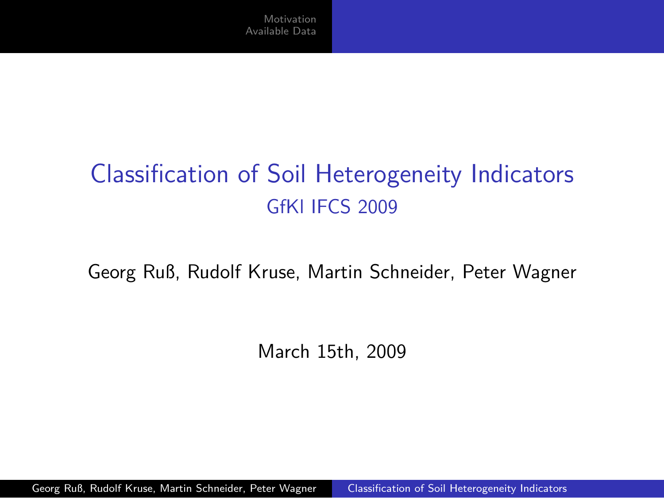# Classification of Soil Heterogeneity Indicators GfKl IFCS 2009

Georg Ruß, Rudolf Kruse, Martin Schneider, Peter Wagner

<span id="page-0-0"></span>March 15th, 2009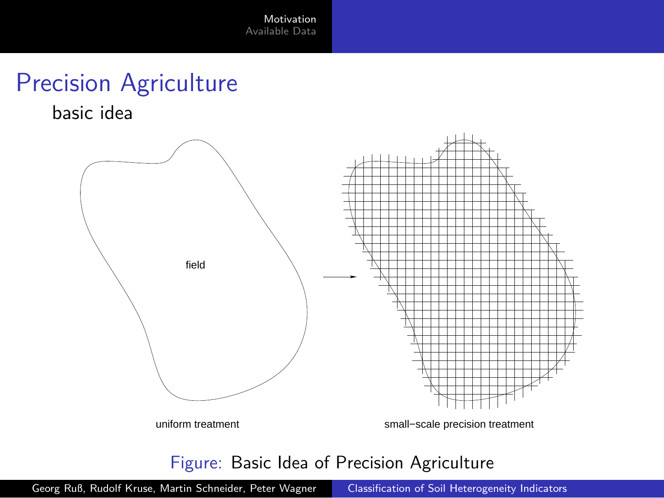## Precision Agriculture

basic idea



<span id="page-1-0"></span>Figure: Basic Idea of Precision Agriculture

Georg Ruß, Rudolf Kruse, Martin Schneider, Peter Wagner [Classification of Soil Heterogeneity Indicators](#page-0-0)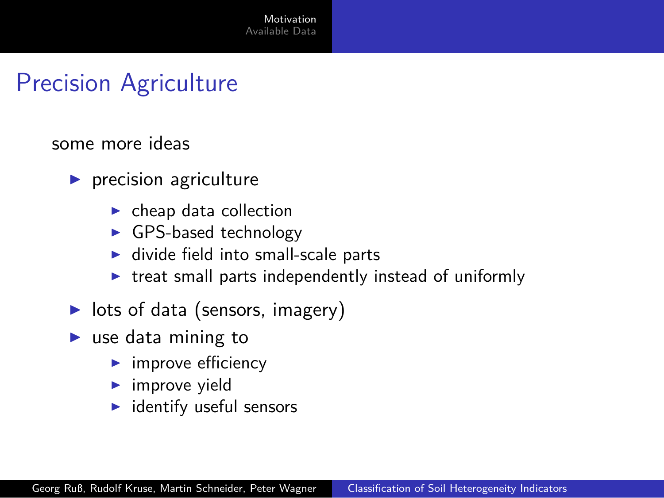#### Precision Agriculture

some more ideas

- $\blacktriangleright$  precision agriculture
	- $\blacktriangleright$  cheap data collection
	- ► GPS-based technology
	- $\blacktriangleright$  divide field into small-scale parts
	- $\triangleright$  treat small parts independently instead of uniformly
- $\blacktriangleright$  lots of data (sensors, imagery)
- $\blacktriangleright$  use data mining to
	- $\blacktriangleright$  improve efficiency
	- $\blacktriangleright$  improve yield
	- $\blacktriangleright$  identify useful sensors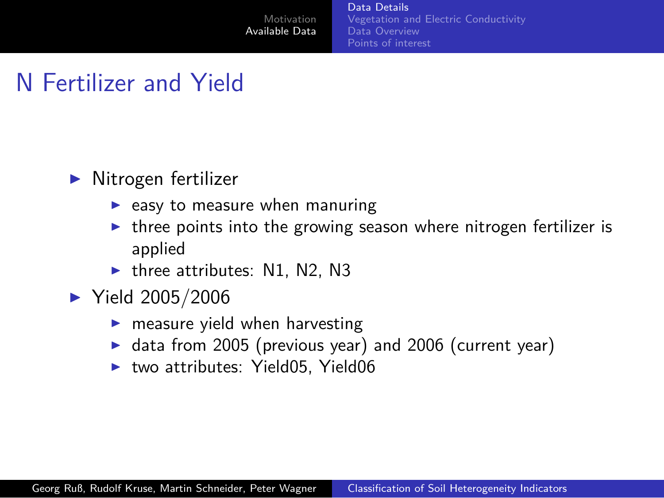[Data Details](#page-3-0) [Vegetation and Electric Conductivity](#page-4-0) [Data Overview](#page-5-0) [Points of interest](#page-7-0)

#### N Fertilizer and Yield

- $\blacktriangleright$  Nitrogen fertilizer
	- $\blacktriangleright$  easy to measure when manuring
	- $\triangleright$  three points into the growing season where nitrogen fertilizer is applied
	- $\blacktriangleright$  three attributes: N1, N2, N3
- <span id="page-3-0"></span>▶ Yield 2005/2006
	- $\blacktriangleright$  measure yield when harvesting
	- ▶ data from 2005 (previous year) and 2006 (current year)
	- ▶ two attributes: Yield05, Yield06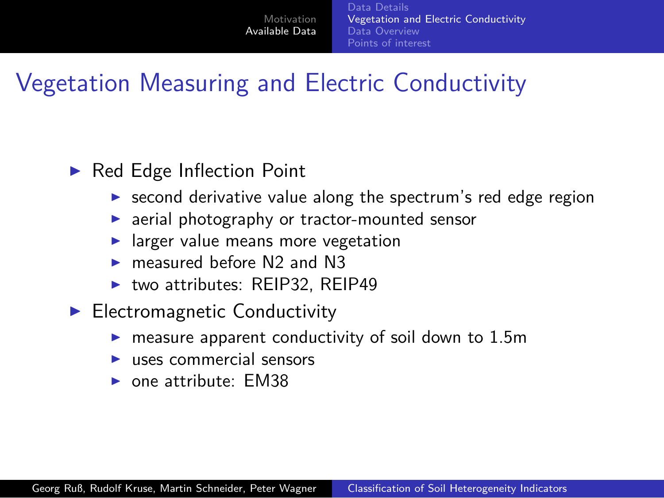[Data Details](#page-3-0) [Vegetation and Electric Conductivity](#page-4-0) [Data Overview](#page-5-0) [Points of interest](#page-7-0)

## Vegetation Measuring and Electric Conductivity

#### ▶ Red Edge Inflection Point

- ▶ second derivative value along the spectrum's red edge region
- ▶ aerial photography or tractor-mounted sensor
- $\blacktriangleright$  larger value means more vegetation
- measured before N<sub>2</sub> and N<sub>3</sub>
- <span id="page-4-0"></span>► two attributes: REIP32, REIP49
- ► Electromagnetic Conductivity
	- measure apparent conductivity of soil down to 1.5m
	- $\blacktriangleright$  uses commercial sensors
	- $\triangleright$  one attribute: FM38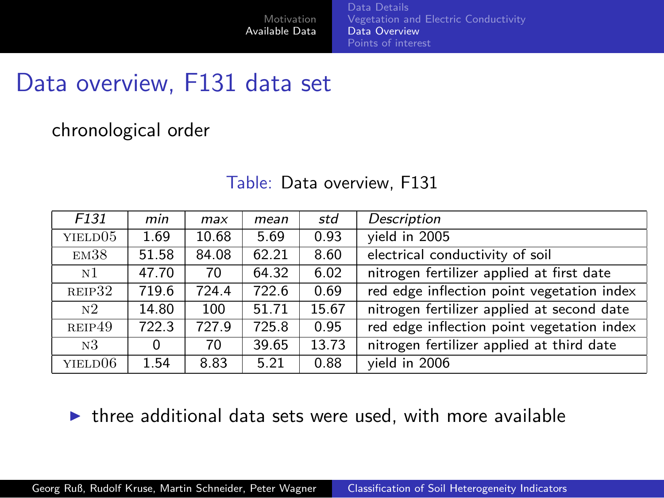[Data Details](#page-3-0) [Vegetation and Electric Conductivity](#page-4-0) [Data Overview](#page-5-0) [Points of interest](#page-7-0)

#### Data overview, F131 data set

chronological order

| F <sub>131</sub>    | min   | max   | mean  | std   | Description                                |
|---------------------|-------|-------|-------|-------|--------------------------------------------|
| YIELD <sub>05</sub> | 1.69  | 10.68 | 5.69  | 0.93  | vield in 2005                              |
| EM38                | 51.58 | 84.08 | 62.21 | 8.60  | electrical conductivity of soil            |
| N <sub>1</sub>      | 47.70 | 70    | 64.32 | 6.02  | nitrogen fertilizer applied at first date  |
| REIP32              | 719.6 | 724.4 | 722.6 | 0.69  | red edge inflection point vegetation index |
| N <sub>2</sub>      | 14.80 | 100   | 51.71 | 15.67 | nitrogen fertilizer applied at second date |
| REIP49              | 722.3 | 727.9 | 725.8 | 0.95  | red edge inflection point vegetation index |
| N <sub>3</sub>      | 0     | 70    | 39.65 | 13.73 | nitrogen fertilizer applied at third date  |
| YIELD06             | 1.54  | 8.83  | 5.21  | 0.88  | vield in 2006                              |

#### <span id="page-5-0"></span>Table: Data overview, F131

 $\triangleright$  three additional data sets were used, with more available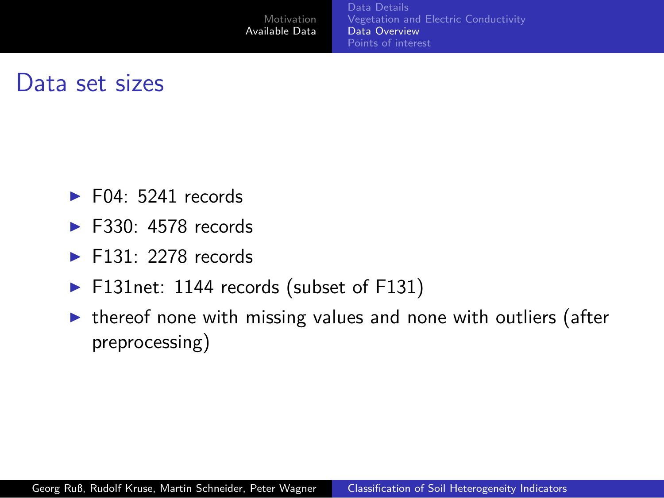#### Data set sizes

- $\blacktriangleright$  F04: 5241 records
- $\blacktriangleright$  F330: 4578 records
- $\blacktriangleright$  F131: 2278 records
- ▶ F131net: 1144 records (subset of F131)

[Motivation](#page-1-0) [Available Data](#page-3-0)

 $\triangleright$  thereof none with missing values and none with outliers (after preprocessing)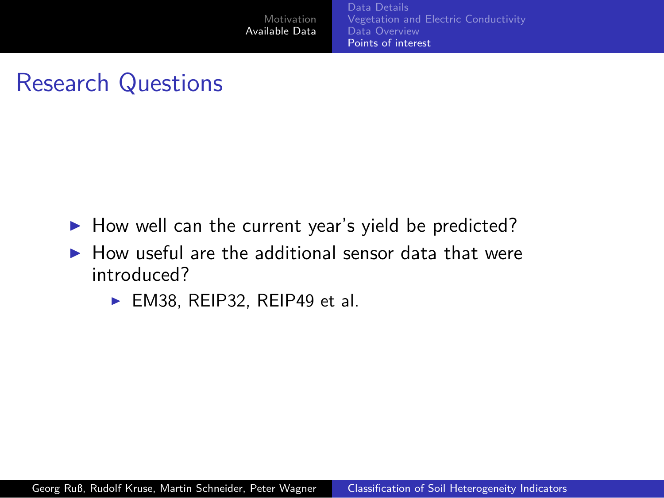## Research Questions

- ▶ How well can the current year's yield be predicted?
- <span id="page-7-0"></span> $\blacktriangleright$  How useful are the additional sensor data that were introduced?
	- ► EM38, REIP32, REIP49 et al.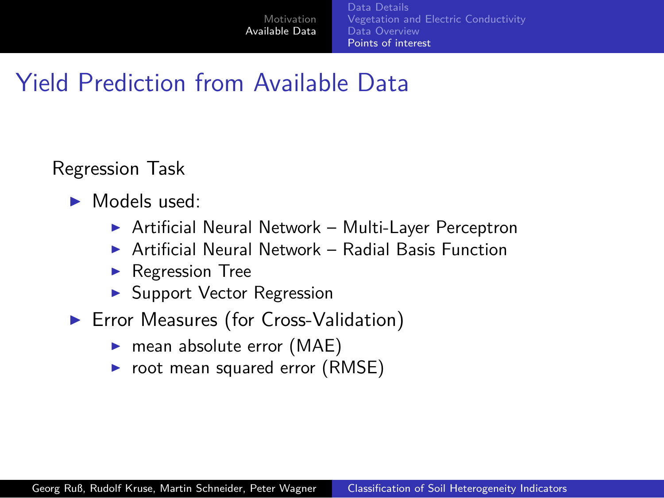[Data Details](#page-3-0) [Vegetation and Electric Conductivity](#page-4-0) [Data Overview](#page-5-0) [Points of interest](#page-7-0)

#### Yield Prediction from Available Data

Regression Task

- ► Models used:
	- ▶ Artificial Neural Network Multi-Layer Perceptron
	- $\triangleright$  Artificial Neural Network Radial Basis Function
	- ◮ Regression Tree
	- ► Support Vector Regression
- ▶ Error Measures (for Cross-Validation)
	- ▶ mean absolute error (MAE)
	- $\triangleright$  root mean squared error (RMSE)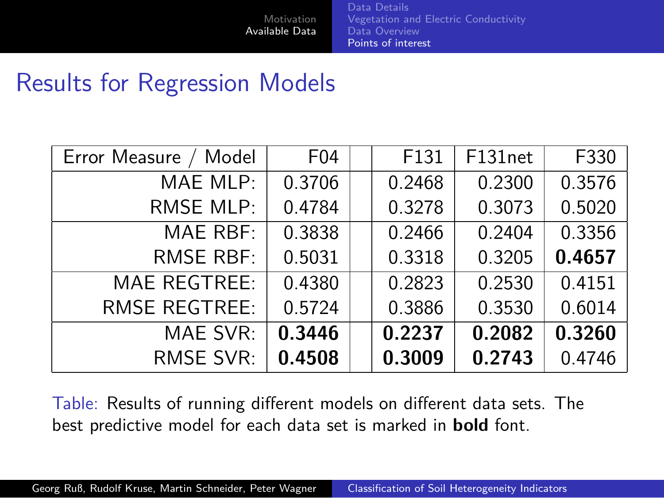[Data Details](#page-3-0) [Vegetation and Electric Conductivity](#page-4-0) [Data Overview](#page-5-0) [Points of interest](#page-7-0)

#### Results for Regression Models

| Error Measure<br>Model | F04    | F131   | F131net | F330   |
|------------------------|--------|--------|---------|--------|
| MAE MLP:               | 0.3706 | 0.2468 | 0.2300  | 0.3576 |
| <b>RMSE MLP:</b>       | 0.4784 | 0.3278 | 0.3073  | 0.5020 |
| MAE RBF:               | 0.3838 | 0.2466 | 0.2404  | 0.3356 |
| <b>RMSE RBF:</b>       | 0.5031 | 0.3318 | 0.3205  | 0.4657 |
| <b>MAE REGTREE:</b>    | 0.4380 | 0.2823 | 0.2530  | 0.4151 |
| <b>RMSE REGTREE:</b>   | 0.5724 | 0.3886 | 0.3530  | 0.6014 |
| MAE SVR:               | 0.3446 | 0.2237 | 0.2082  | 0.3260 |
| RMSE SVR:              | 0.4508 | 0.3009 | 0.2743  | 0.4746 |

Table: Results of running different models on different data sets. The best predictive model for each data set is marked in **bold** font.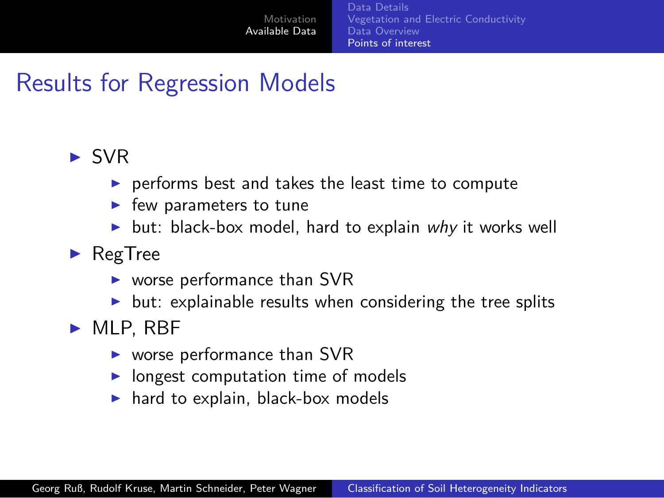[Data Details](#page-3-0) [Vegetation and Electric Conductivity](#page-4-0) [Data Overview](#page-5-0) [Points of interest](#page-7-0)

## Results for Regression Models

#### ► SVR

- $\triangleright$  performs best and takes the least time to compute
- $\blacktriangleright$  few parameters to tune
- $\triangleright$  but: black-box model, hard to explain why it works well
- $\blacktriangleright$  RegTree
	- $\triangleright$  worse performance than SVR
	- $\triangleright$  but: explainable results when considering the tree splits
- $\blacktriangleright$  MLP, RBF
	- $\triangleright$  worse performance than SVR
	- $\triangleright$  longest computation time of models
	- $\blacktriangleright$  hard to explain, black-box models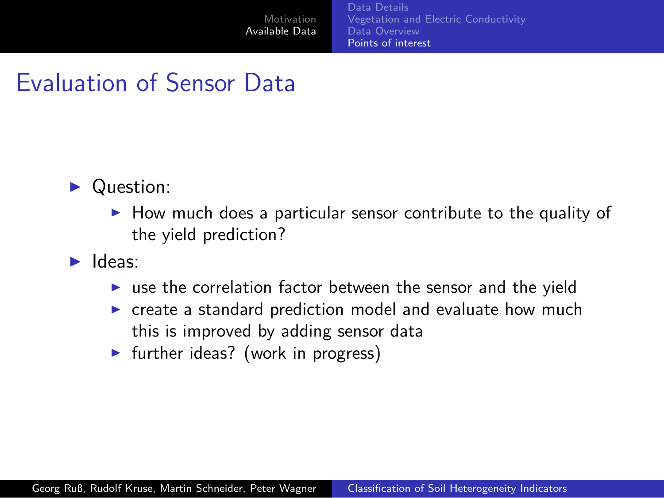[Data Details](#page-3-0) [Vegetation and Electric Conductivity](#page-4-0) [Data Overview](#page-5-0) [Points of interest](#page-7-0)

#### Evaluation of Sensor Data

- ▶ Question:
	- $\blacktriangleright$  How much does a particular sensor contribute to the quality of the yield prediction?
- ▶ Ideas:
	- $\triangleright$  use the correlation factor between the sensor and the yield
	- ▶ create a standard prediction model and evaluate how much this is improved by adding sensor data
	- $\blacktriangleright$  further ideas? (work in progress)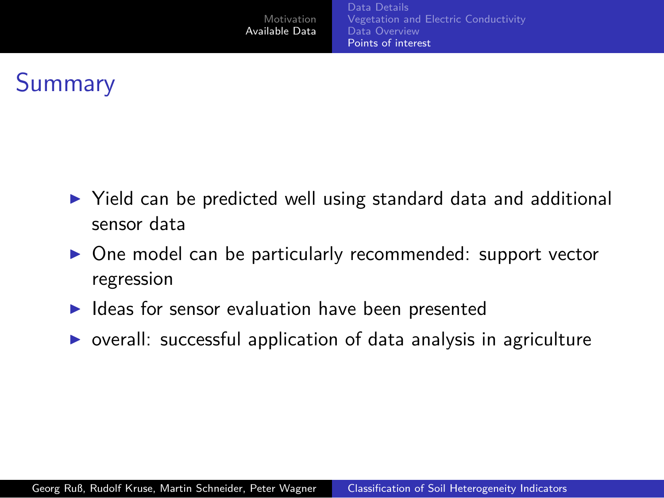# **Summary**

- ▶ Yield can be predicted well using standard data and additional sensor data
- ▶ One model can be particularly recommended: support vector regression
- ▶ Ideas for sensor evaluation have been presented
- $\triangleright$  overall: successful application of data analysis in agriculture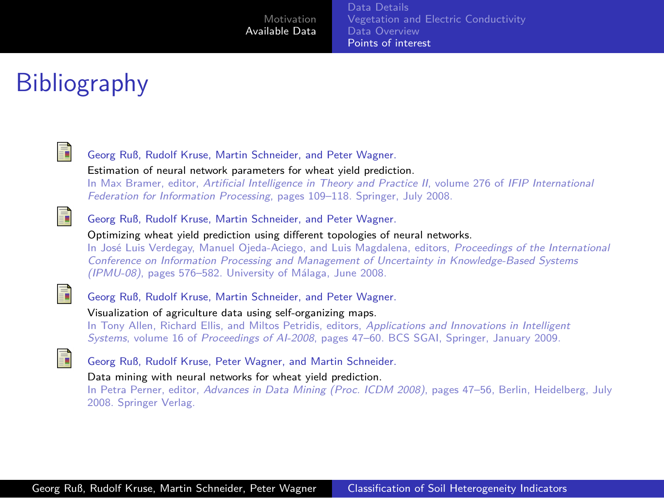[Data Details](#page-3-0) [Vegetation and Electric Conductivity](#page-4-0) [Data Overview](#page-5-0) [Points of interest](#page-7-0)

# Bibliography